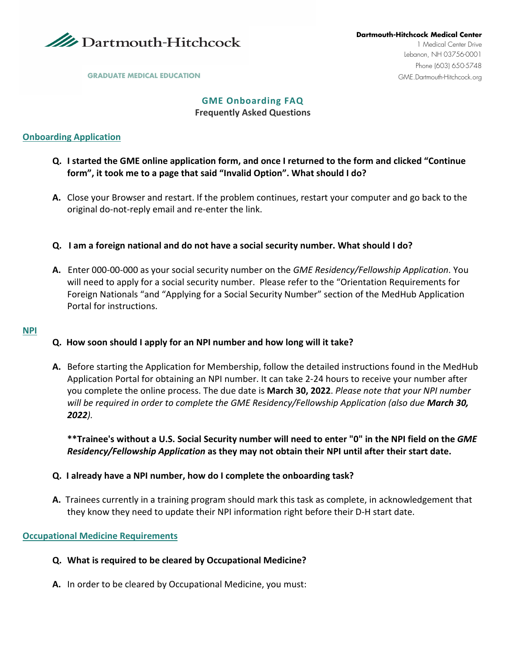

#### **GME Onboarding FAQ Frequently Asked Questions**

## **Onboarding Application**

- **Q. I started the GME online application form, and once I returned to the form and clicked "Continue form", it took me to a page that said "Invalid Option". What should I do?**
- **A.** Close your Browser and restart. If the problem continues, restart your computer and go back to the original do-not-reply email and re-enter the link.
- **Q. I am a foreign national and do not have a social security number. What should I do?**
- **A.** Enter 000-00-000 as your social security number on the *GME Residency/Fellowship Application*. You will need to apply for a social security number. Please refer to the "Orientation Requirements for Foreign Nationals "and "Applying for a Social Security Number" section of the MedHub Application Portal for instructions.

#### **NPI**

#### **Q. How soon should I apply for an NPI number and how long will it take?**

**A.** Before starting the Application for Membership, follow the detailed instructions found in the MedHub Application Portal for obtaining an NPI number. It can take 2-24 hours to receive your number after you complete the online process. The due date is **March 30, 2022**. *Please note that your NPI number will be required in order to complete the GME Residency/Fellowship Application (also due March 30, 2022).*

**\*\*Trainee's without a U.S. Social Security number will need to enter "0" in the NPI field on the** *GME Residency/Fellowship Application* **as they may not obtain their NPI until after their start date.**

#### **Q. I already have a NPI number, how do I complete the onboarding task?**

**A.** Trainees currently in a training program should mark this task as complete, in acknowledgement that they know they need to update their NPI information right before their D-H start date.

#### **Occupational Medicine Requirements**

- **Q. What is required to be cleared by Occupational Medicine?**
- **A.** In order to be cleared by Occupational Medicine, you must: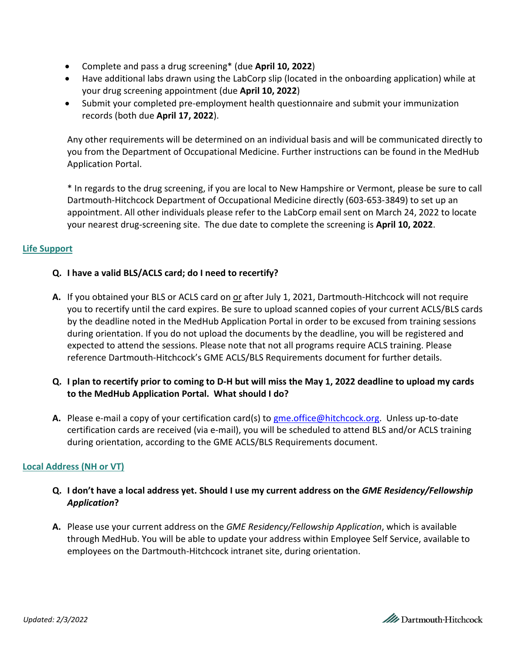- Complete and pass a drug screening\* (due **April 10, 2022**)
- Have additional labs drawn using the LabCorp slip (located in the onboarding application) while at your drug screening appointment (due **April 10, 2022**)
- Submit your completed pre-employment health questionnaire and submit your immunization records (both due **April 17, 2022**).

Any other requirements will be determined on an individual basis and will be communicated directly to you from the Department of Occupational Medicine. Further instructions can be found in the MedHub Application Portal.

\* In regards to the drug screening, if you are local to New Hampshire or Vermont, please be sure to call Dartmouth-Hitchcock Department of Occupational Medicine directly (603-653-3849) to set up an appointment. All other individuals please refer to the LabCorp email sent on March 24, 2022 to locate your nearest drug-screening site. The due date to complete the screening is **April 10, 2022**.

## **Life Support**

# **Q. I have a valid BLS/ACLS card; do I need to recertify?**

- **A.** If you obtained your BLS or ACLS card on or after July 1, 2021, Dartmouth-Hitchcock will not require you to recertify until the card expires. Be sure to upload scanned copies of your current ACLS/BLS cards by the deadline noted in the MedHub Application Portal in order to be excused from training sessions during orientation. If you do not upload the documents by the deadline, you will be registered and expected to attend the sessions. Please note that not all programs require ACLS training. Please reference Dartmouth-Hitchcock's GME ACLS/BLS Requirements document for further details.
- **Q. I plan to recertify prior to coming to D-H but will miss the May 1, 2022 deadline to upload my cards to the MedHub Application Portal. What should I do?**
- A. Please e-mail a copy of your certification card(s) to [gme.office@hitchcock.org.](mailto:gme.office@hitchcock.org) Unless up-to-date certification cards are received (via e-mail), you will be scheduled to attend BLS and/or ACLS training during orientation, according to the GME ACLS/BLS Requirements document.

# **Local Address (NH or VT)**

- **Q. I don't have a local address yet. Should I use my current address on the** *GME Residency/Fellowship Application***?**
- **A.** Please use your current address on the *GME Residency/Fellowship Application*, which is available through MedHub. You will be able to update your address within Employee Self Service, available to employees on the Dartmouth-Hitchcock intranet site, during orientation.

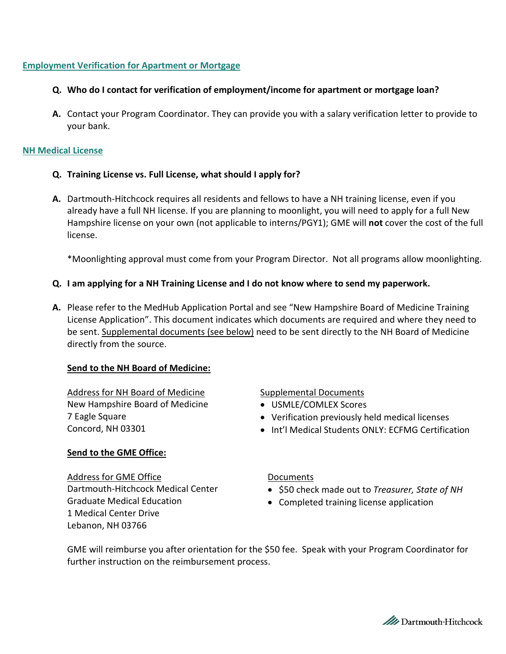## **Employment Verification for Apartment or Mortgage**

- **Q. Who do I contact for verification of employment/income for apartment or mortgage loan?**
- **A.** Contact your Program Coordinator. They can provide you with a salary verification letter to provide to your bank.

#### **NH Medical License**

- **Q. Training License vs. Full License, what should I apply for?**
- **A.** Dartmouth-Hitchcock requires all residents and fellows to have a NH training license, even if you already have a full NH license. If you are planning to moonlight, you will need to apply for a full New Hampshire license on your own (not applicable to interns/PGY1); GME will **not** cover the cost of the full license.

\*Moonlighting approval must come from your Program Director. Not all programs allow moonlighting.

- **Q. I am applying for a NH Training License and I do not know where to send my paperwork.**
- **A.** Please refer to the MedHub Application Portal and see "New Hampshire Board of Medicine Training License Application". This document indicates which documents are required and where they need to be sent. Supplemental documents (see below) need to be sent directly to the NH Board of Medicine directly from the source.

#### **Send to the NH Board of Medicine:**

Address for NH Board of Medicine New Hampshire Board of Medicine 7 Eagle Square Concord, NH 03301

## **Send to the GME Office:**

Address for GME Office Dartmouth-Hitchcock Medical Center Graduate Medical Education 1 Medical Center Drive Lebanon, NH 03766

#### Supplemental Documents

- USMLE/COMLEX Scores
- Verification previously held medical licenses
- Int'l Medical Students ONLY: ECFMG Certification

#### Documents

- \$50 check made out to *Treasurer, State of NH*
- Completed training license application

GME will reimburse you after orientation for the \$50 fee. Speak with your Program Coordinator for further instruction on the reimbursement process.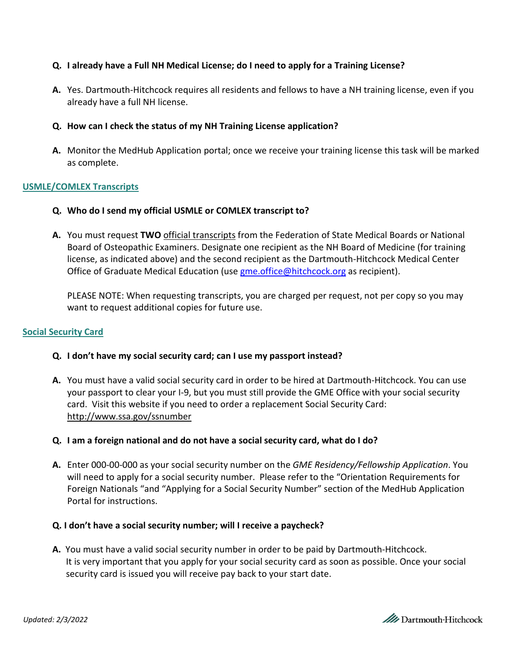## **Q. I already have a Full NH Medical License; do I need to apply for a Training License?**

**A.** Yes. Dartmouth-Hitchcock requires all residents and fellows to have a NH training license, even if you already have a full NH license.

### **Q. How can I check the status of my NH Training License application?**

**A.** Monitor the MedHub Application portal; once we receive your training license this task will be marked as complete.

## **USMLE/COMLEX Transcripts**

- **Q. Who do I send my official USMLE or COMLEX transcript to?**
- **A.** You must request **TWO** official transcripts from the Federation of State Medical Boards or National Board of Osteopathic Examiners. Designate one recipient as the NH Board of Medicine (for training license, as indicated above) and the second recipient as the Dartmouth-Hitchcock Medical Center Office of Graduate Medical Education (us[e gme.office@hitchcock.org](mailto:gme.office@hitchcock.org) as recipient).

PLEASE NOTE: When requesting transcripts, you are charged per request, not per copy so you may want to request additional copies for future use.

#### **Social Security Card**

#### **Q. I don't have my social security card; can I use my passport instead?**

**A.** You must have a valid social security card in order to be hired at Dartmouth-Hitchcock. You can use your passport to clear your I-9, but you must still provide the GME Office with your social security card. Visit this website if you need to order a replacement Social Security Card: <http://www.ssa.gov/ssnumber>

#### **Q. I am a foreign national and do not have a social security card, what do I do?**

**A.** Enter 000-00-000 as your social security number on the *GME Residency/Fellowship Application*. You will need to apply for a social security number. Please refer to the "Orientation Requirements for Foreign Nationals "and "Applying for a Social Security Number" section of the MedHub Application Portal for instructions.

#### **Q. I don't have a social security number; will I receive a paycheck?**

**A.** You must have a valid social security number in order to be paid by Dartmouth-Hitchcock. It is very important that you apply for your social security card as soon as possible. Once your social security card is issued you will receive pay back to your start date.